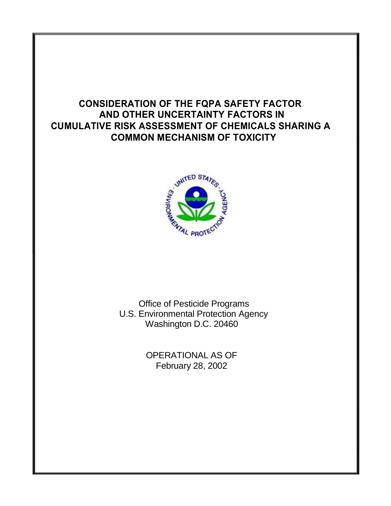# **CONSIDERATION OF THE FQPA SAFETY FACTOR AND OTHER UNCERTAINTY FACTORS IN CUMULATIVE RISK ASSESSMENT OF CHEMICALS SHARING A COMMON MECHANISM OF TOXICITY**



Office of Pesticide Programs U.S. Environmental Protection Agency Washington D.C. 20460

> OPERATIONAL AS OF February 28, 2002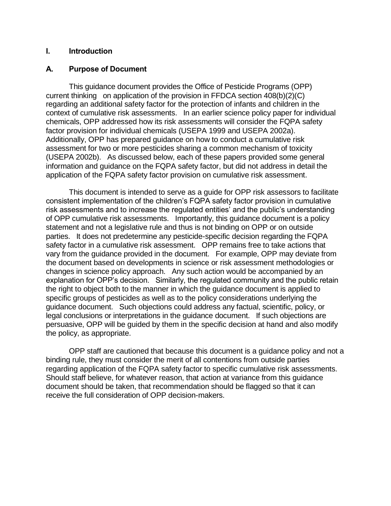#### **I. Introduction**

#### **A. Purpose of Document**

This guidance document provides the Office of Pesticide Programs (OPP) current thinking on application of the provision in FFDCA section 408(b)(2)(C) regarding an additional safety factor for the protection of infants and children in the context of cumulative risk assessments. In an earlier science policy paper for individual chemicals, OPP addressed how its risk assessments will consider the FQPA safety factor provision for individual chemicals (USEPA 1999 and USEPA 2002a). Additionally, OPP has prepared guidance on how to conduct a cumulative risk assessment for two or more pesticides sharing a common mechanism of toxicity (USEPA 2002b). As discussed below, each of these papers provided some general information and guidance on the FQPA safety factor, but did not address in detail the application of the FQPA safety factor provision on cumulative risk assessment.

This document is intended to serve as a guide for OPP risk assessors to facilitate consistent implementation of the children's FQPA safety factor provision in cumulative risk assessments and to increase the regulated entities' and the public's understanding of OPP cumulative risk assessments. Importantly, this guidance document is a policy statement and not a legislative rule and thus is not binding on OPP or on outside parties. It does not predetermine any pesticide-specific decision regarding the FQPA safety factor in a cumulative risk assessment. OPP remains free to take actions that vary from the guidance provided in the document. For example, OPP may deviate from the document based on developments in science or risk assessment methodologies or changes in science policy approach. Any such action would be accompanied by an explanation for OPP's decision. Similarly, the regulated community and the public retain the right to object both to the manner in which the guidance document is applied to specific groups of pesticides as well as to the policy considerations underlying the guidance document. Such objections could address any factual, scientific, policy, or legal conclusions or interpretations in the guidance document. If such objections are persuasive, OPP will be guided by them in the specific decision at hand and also modify the policy, as appropriate.

OPP staff are cautioned that because this document is a guidance policy and not a binding rule, they must consider the merit of all contentions from outside parties regarding application of the FQPA safety factor to specific cumulative risk assessments. Should staff believe, for whatever reason, that action at variance from this guidance document should be taken, that recommendation should be flagged so that it can receive the full consideration of OPP decision-makers.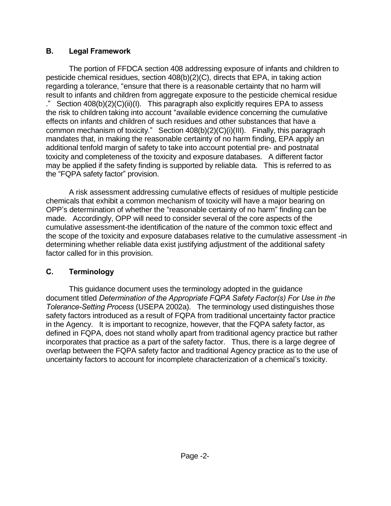### **B. Legal Framework**

The portion of FFDCA section 408 addressing exposure of infants and children to pesticide chemical residues, section 408(b)(2)(C), directs that EPA, in taking action regarding a tolerance, "ensure that there is a reasonable certainty that no harm will result to infants and children from aggregate exposure to the pesticide chemical residue ." Section 408(b)(2)(C)(ii)(I). This paragraph also explicitly requires EPA to assess the risk to children taking into account "available evidence concerning the cumulative effects on infants and children of such residues and other substances that have a common mechanism of toxicity." Section 408(b)(2)(C)(i)(III). Finally, this paragraph mandates that, in making the reasonable certainty of no harm finding, EPA apply an additional tenfold margin of safety to take into account potential pre- and postnatal toxicity and completeness of the toxicity and exposure databases. A different factor may be applied if the safety finding is supported by reliable data. This is referred to as the "FQPA safety factor" provision.

A risk assessment addressing cumulative effects of residues of multiple pesticide chemicals that exhibit a common mechanism of toxicity will have a major bearing on OPP's determination of whether the "reasonable certainty of no harm" finding can be made. Accordingly, OPP will need to consider several of the core aspects of the cumulative assessment-the identification of the nature of the common toxic effect and the scope of the toxicity and exposure databases relative to the cumulative assessment -in determining whether reliable data exist justifying adjustment of the additional safety factor called for in this provision.

## **C. Terminology**

This guidance document uses the terminology adopted in the guidance document titled *Determination of the Appropriate FQPA Safety Factor(s) For Use in the Tolerance-Setting Process* (USEPA 2002a). The terminology used distinguishes those safety factors introduced as a result of FQPA from traditional uncertainty factor practice in the Agency. It is important to recognize, however, that the FQPA safety factor, as defined in FQPA, does not stand wholly apart from traditional agency practice but rather incorporates that practice as a part of the safety factor. Thus, there is a large degree of overlap between the FQPA safety factor and traditional Agency practice as to the use of uncertainty factors to account for incomplete characterization of a chemical's toxicity.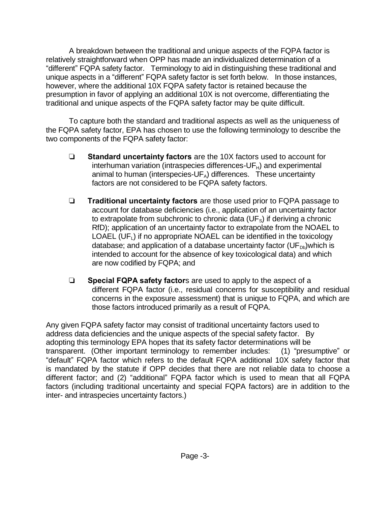A breakdown between the traditional and unique aspects of the FQPA factor is relatively straightforward when OPP has made an individualized determination of a "different" FQPA safety factor. Terminology to aid in distinguishing these traditional and unique aspects in a "different" FQPA safety factor is set forth below. In those instances, however, where the additional 10X FQPA safety factor is retained because the presumption in favor of applying an additional 10X is not overcome, differentiating the traditional and unique aspects of the FQPA safety factor may be quite difficult.

To capture both the standard and traditional aspects as well as the uniqueness of the FQPA safety factor, EPA has chosen to use the following terminology to describe the two components of the FQPA safety factor:

- **Example 3 Standard uncertainty factors** are the 10X factors used to account for interhuman variation (intraspecies differences- $UF<sub>H</sub>$ ) and experimental animal to human (interspecies- $UF_A$ ) differences. These uncertainty factors are not considered to be FQPA safety factors.
- **Traditional uncertainty factors** are those used prior to FQPA passage to account for database deficiencies (i.e., application of an uncertainty factor to extrapolate from subchronic to chronic data  $(UF<sub>s</sub>)$  if deriving a chronic RfD); application of an uncertainty factor to extrapolate from the NOAEL to LOAEL (UF<sub>I</sub>) if no appropriate NOAEL can be identified in the toxicology database; and application of a database uncertainty factor ( $UF_{Db}$ )which is intended to account for the absence of key toxicological data) and which are now codified by FQPA; and
- **Example 3 Special FQPA safety factors** are used to apply to the aspect of a different FQPA factor (i.e., residual concerns for susceptibility and residual concerns in the exposure assessment) that is unique to FQPA, and which are those factors introduced primarily as a result of FQPA.

Any given FQPA safety factor may consist of traditional uncertainty factors used to address data deficiencies and the unique aspects of the special safety factor. By adopting this terminology EPA hopes that its safety factor determinations will be transparent. (Other important terminology to remember includes: (1) "presumptive" or "default" FQPA factor which refers to the default FQPA additional 10X safety factor that is mandated by the statute if OPP decides that there are not reliable data to choose a different factor; and (2) "additional" FQPA factor which is used to mean that all FQPA factors (including traditional uncertainty and special FQPA factors) are in addition to the inter- and intraspecies uncertainty factors.)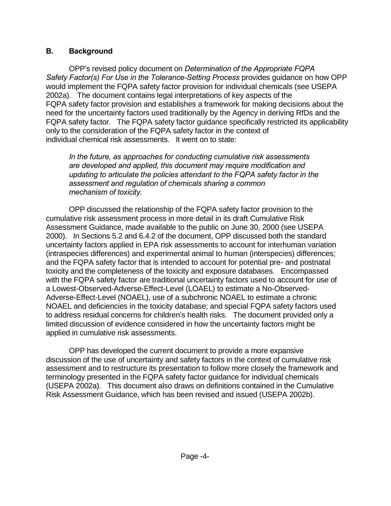### **B. Background**

OPP's revised policy document on *Determination of the Appropriate FQPA Safety Factor(s) For Use in the Tolerance-Setting Process* provides guidance on how OPP would implement the FQPA safety factor provision for individual chemicals (see USEPA 2002a). The document contains legal interpretations of key aspects of the FQPA safety factor provision and establishes a framework for making decisions about the need for the uncertainty factors used traditionally by the Agency in deriving RfDs and the FQPA safety factor. The FQPA safety factor guidance specifically restricted its applicability only to the consideration of the FQPA safety factor in the context of individual chemical risk assessments. It went on to state:

*In the future, as approaches for conducting cumulative risk assessments are developed and applied, this document may require modification and updating to articulate the policies attendant to the FQPA safety factor in the assessment and regulation of chemicals sharing a common mechanism of toxicity.* 

OPP discussed the relationship of the FQPA safety factor provision to the cumulative risk assessment process in more detail in its draft Cumulative Risk Assessment Guidance, made available to the public on June 30, 2000 (see USEPA 2000). In Sections 5.2 and 6.4.2 of the document, OPP discussed both the standard uncertainty factors applied in EPA risk assessments to account for interhuman variation (intraspecies differences) and experimental animal to human (interspecies) differences; and the FQPA safety factor that is intended to account for potential pre- and postnatal toxicity and the completeness of the toxicity and exposure databases. Encompassed with the FQPA safety factor are traditional uncertainty factors used to account for use of a Lowest-Observed-Adverse-Effect-Level (LOAEL) to estimate a No-Observed-Adverse-Effect-Level (NOAEL), use of a subchronic NOAEL to estimate a chronic NOAEL and deficiencies in the toxicity database; and special FQPA safety factors used to address residual concerns for children's health risks. The document provided only a limited discussion of evidence considered in how the uncertainty factors might be applied in cumulative risk assessments.

OPP has developed the current document to provide a more expansive discussion of the use of uncertainty and safety factors in the context of cumulative risk assessment and to restructure its presentation to follow more closely the framework and terminology presented in the FQPA safety factor guidance for individual chemicals (USEPA 2002a). This document also draws on definitions contained in the Cumulative Risk Assessment Guidance, which has been revised and issued (USEPA 2002b).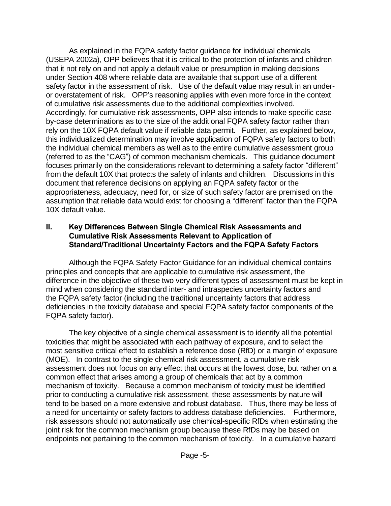As explained in the FQPA safety factor guidance for individual chemicals (USEPA 2002a), OPP believes that it is critical to the protection of infants and children that it not rely on and not apply a default value or presumption in making decisions under Section 408 where reliable data are available that support use of a different safety factor in the assessment of risk. Use of the default value may result in an underor overstatement of risk. OPP's reasoning applies with even more force in the context of cumulative risk assessments due to the additional complexities involved. Accordingly, for cumulative risk assessments, OPP also intends to make specific caseby-case determinations as to the size of the additional FQPA safety factor rather than rely on the 10X FQPA default value if reliable data permit. Further, as explained below, this individualized determination may involve application of FQPA safety factors to both the individual chemical members as well as to the entire cumulative assessment group (referred to as the "CAG") of common mechanism chemicals. This guidance document focuses primarily on the considerations relevant to determining a safety factor "different" from the default 10X that protects the safety of infants and children. Discussions in this document that reference decisions on applying an FQPA safety factor or the appropriateness, adequacy, need for, or size of such safety factor are premised on the assumption that reliable data would exist for choosing a "different" factor than the FQPA 10X default value.

#### **II. Key Differences Between Single Chemical Risk Assessments and Cumulative Risk Assessments Relevant to Application of Standard/Traditional Uncertainty Factors and the FQPA Safety Factors**

Although the FQPA Safety Factor Guidance for an individual chemical contains principles and concepts that are applicable to cumulative risk assessment, the difference in the objective of these two very different types of assessment must be kept in mind when considering the standard inter- and intraspecies uncertainty factors and the FQPA safety factor (including the traditional uncertainty factors that address deficiencies in the toxicity database and special FQPA safety factor components of the FQPA safety factor).

The key objective of a single chemical assessment is to identify all the potential toxicities that might be associated with each pathway of exposure, and to select the most sensitive critical effect to establish a reference dose (RfD) or a margin of exposure (MOE). In contrast to the single chemical risk assessment, a cumulative risk assessment does not focus on any effect that occurs at the lowest dose, but rather on a common effect that arises among a group of chemicals that act by a common mechanism of toxicity. Because a common mechanism of toxicity must be identified prior to conducting a cumulative risk assessment, these assessments by nature will tend to be based on a more extensive and robust database. Thus, there may be less of a need for uncertainty or safety factors to address database deficiencies. Furthermore, risk assessors should not automatically use chemical-specific RfDs when estimating the joint risk for the common mechanism group because these RfDs may be based on endpoints not pertaining to the common mechanism of toxicity. In a cumulative hazard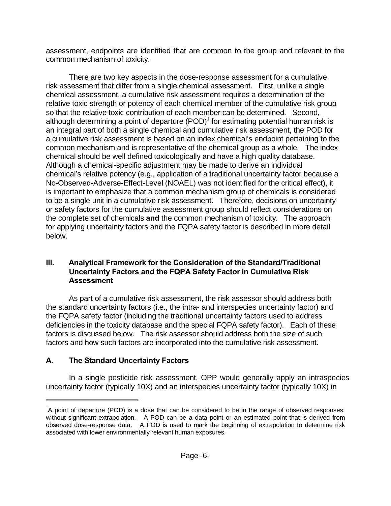assessment, endpoints are identified that are common to the group and relevant to the common mechanism of toxicity.

There are two key aspects in the dose-response assessment for a cumulative risk assessment that differ from a single chemical assessment. First, unlike a single chemical assessment, a cumulative risk assessment requires a determination of the relative toxic strength or potency of each chemical member of the cumulative risk group so that the relative toxic contribution of each member can be determined. Second, although determining a point of departure  $(POD)^1$  for estimating potential human risk is an integral part of both a single chemical and cumulative risk assessment, the POD for a cumulative risk assessment is based on an index chemical's endpoint pertaining to the common mechanism and is representative of the chemical group as a whole. The index chemical should be well defined toxicologically and have a high quality database. Although a chemical-specific adjustment may be made to derive an individual chemical's relative potency (e.g., application of a traditional uncertainty factor because a No-Observed-Adverse-Effect-Level (NOAEL) was not identified for the critical effect), it is important to emphasize that a common mechanism group of chemicals is considered to be a single unit in a cumulative risk assessment. Therefore, decisions on uncertainty or safety factors for the cumulative assessment group should reflect considerations on the complete set of chemicals **and** the common mechanism of toxicity. The approach for applying uncertainty factors and the FQPA safety factor is described in more detail below.

#### **III. Analytical Framework for the Consideration of the Standard/Traditional Uncertainty Factors and the FQPA Safety Factor in Cumulative Risk Assessment**

As part of a cumulative risk assessment, the risk assessor should address both the standard uncertainty factors (i.e., the intra- and interspecies uncertainty factor) and the FQPA safety factor (including the traditional uncertainty factors used to address deficiencies in the toxicity database and the special FQPA safety factor). Each of these factors is discussed below. The risk assessor should address both the size of such factors and how such factors are incorporated into the cumulative risk assessment.

## **A. The Standard Uncertainty Factors**

In a single pesticide risk assessment, OPP would generally apply an intraspecies uncertainty factor (typically 10X) and an interspecies uncertainty factor (typically 10X) in

<sup>1</sup>A point of departure (POD) is a dose that can be considered to be in the range of observed responses, without significant extrapolation. A POD can be a data point or an estimated point that is derived from observed dose-response data. A POD is used to mark the beginning of extrapolation to determine risk associated with lower environmentally relevant human exposures.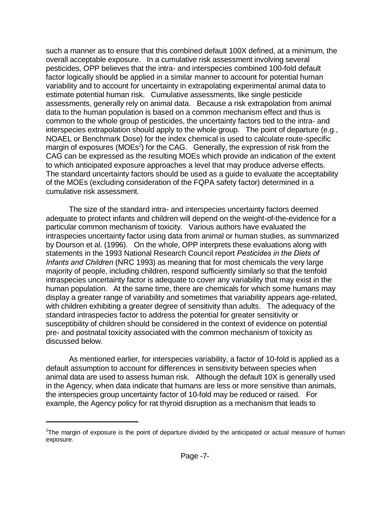such a manner as to ensure that this combined default 100X defined, at a minimum, the overall acceptable exposure. In a cumulative risk assessment involving several pesticides, OPP believes that the intra- and interspecies combined 100-fold default factor logically should be applied in a similar manner to account for potential human variability and to account for uncertainty in extrapolating experimental animal data to estimate potential human risk. Cumulative assessments, like single pesticide assessments, generally rely on animal data. Because a risk extrapolation from animal data to the human population is based on a common mechanism effect and thus is common to the whole group of pesticides, the uncertainty factors tied to the intra- and interspecies extrapolation should apply to the whole group. The point of departure (e.g., NOAEL or Benchmark Dose) for the index chemical is used to calculate route-specific margin of exposures ( $MOEs<sup>2</sup>$ ) for the CAG. Generally, the expression of risk from the CAG can be expressed as the resulting MOEs which provide an indication of the extent to which anticipated exposure approaches a level that may produce adverse effects. The standard uncertainty factors should be used as a guide to evaluate the acceptability of the MOEs (excluding consideration of the FQPA safety factor) determined in a cumulative risk assessment.

The size of the standard intra- and interspecies uncertainty factors deemed adequate to protect infants and children will depend on the weight-of-the-evidence for a particular common mechanism of toxicity. Various authors have evaluated the intraspecies uncertainty factor using data from animal or human studies, as summarized by Dourson et al. (1996). On the whole, OPP interprets these evaluations along with statements in the 1993 National Research Council report *Pesticides in the Diets of Infants and Children* (NRC 1993) as meaning that for most chemicals the very large majority of people, including children, respond sufficiently similarly so that the tenfold intraspecies uncertainty factor is adequate to cover any variability that may exist in the human population. At the same time, there are chemicals for which some humans may display a greater range of variability and sometimes that variability appears age-related, with children exhibiting a greater degree of sensitivity than adults. The adequacy of the standard intraspecies factor to address the potential for greater sensitivity or susceptibility of children should be considered in the context of evidence on potential pre- and postnatal toxicity associated with the common mechanism of toxicity as discussed below.

As mentioned earlier, for interspecies variability, a factor of 10-fold is applied as a default assumption to account for differences in sensitivity between species when animal data are used to assess human risk. Although the default 10X is generally used in the Agency, when data indicate that humans are less or more sensitive than animals, the interspecies group uncertainty factor of 10-fold may be reduced or raised. For example, the Agency policy for rat thyroid disruption as a mechanism that leads to

 $2$ The margin of exposure is the point of departure divided by the anticipated or actual measure of human exposure.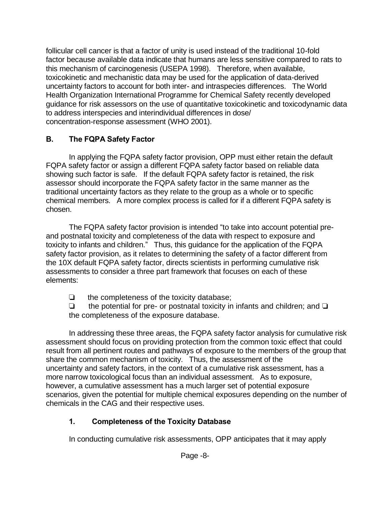follicular cell cancer is that a factor of unity is used instead of the traditional 10-fold factor because available data indicate that humans are less sensitive compared to rats to this mechanism of carcinogenesis (USEPA 1998). Therefore, when available, toxicokinetic and mechanistic data may be used for the application of data-derived uncertainty factors to account for both inter- and intraspecies differences. The World Health Organization International Programme for Chemical Safety recently developed guidance for risk assessors on the use of quantitative toxicokinetic and toxicodynamic data to address interspecies and interindividual differences in dose/ concentration-response assessment (WHO 2001).

### **B. The FQPA Safety Factor**

In applying the FQPA safety factor provision, OPP must either retain the default FQPA safety factor or assign a different FQPA safety factor based on reliable data showing such factor is safe. If the default FQPA safety factor is retained, the risk assessor should incorporate the FQPA safety factor in the same manner as the traditional uncertainty factors as they relate to the group as a whole or to specific chemical members. A more complex process is called for if a different FQPA safety is chosen.

The FQPA safety factor provision is intended "to take into account potential preand postnatal toxicity and completeness of the data with respect to exposure and toxicity to infants and children." Thus, this guidance for the application of the FQPA safety factor provision, as it relates to determining the safety of a factor different from the 10X default FQPA safety factor, directs scientists in performing cumulative risk assessments to consider a three part framework that focuses on each of these elements:

 $\Box$  the completeness of the toxicity database;

 $\Box$  the potential for pre- or postnatal toxicity in infants and children; and  $\Box$ the completeness of the exposure database.

In addressing these three areas, the FQPA safety factor analysis for cumulative risk assessment should focus on providing protection from the common toxic effect that could result from all pertinent routes and pathways of exposure to the members of the group that share the common mechanism of toxicity. Thus, the assessment of the uncertainty and safety factors, in the context of a cumulative risk assessment, has a more narrow toxicological focus than an individual assessment. As to exposure, however, a cumulative assessment has a much larger set of potential exposure scenarios, given the potential for multiple chemical exposures depending on the number of chemicals in the CAG and their respective uses.

## **1. Completeness of the Toxicity Database**

In conducting cumulative risk assessments, OPP anticipates that it may apply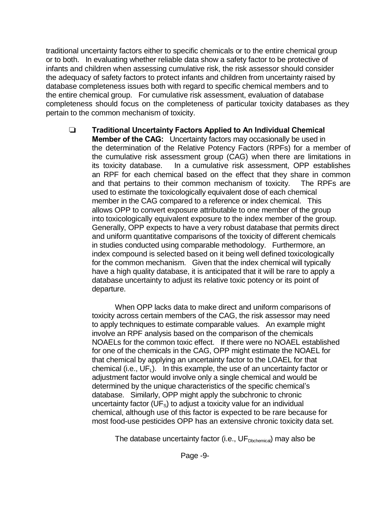traditional uncertainty factors either to specific chemicals or to the entire chemical group or to both. In evaluating whether reliable data show a safety factor to be protective of infants and children when assessing cumulative risk, the risk assessor should consider the adequacy of safety factors to protect infants and children from uncertainty raised by database completeness issues both with regard to specific chemical members and to the entire chemical group. For cumulative risk assessment, evaluation of database completeness should focus on the completeness of particular toxicity databases as they pertain to the common mechanism of toxicity.

 **Traditional Uncertainty Factors Applied to An Individual Chemical Member of the CAG:** Uncertainty factors may occasionally be used in the determination of the Relative Potency Factors (RPFs) for a member of the cumulative risk assessment group (CAG) when there are limitations in its toxicity database. In a cumulative risk assessment, OPP establishes an RPF for each chemical based on the effect that they share in common and that pertains to their common mechanism of toxicity. The RPFs are used to estimate the toxicologically equivalent dose of each chemical member in the CAG compared to a reference or index chemical. This allows OPP to convert exposure attributable to one member of the group into toxicologically equivalent exposure to the index member of the group. Generally, OPP expects to have a very robust database that permits direct and uniform quantitative comparisons of the toxicity of different chemicals in studies conducted using comparable methodology. Furthermore, an index compound is selected based on it being well defined toxicologically for the common mechanism. Given that the index chemical will typically have a high quality database, it is anticipated that it will be rare to apply a database uncertainty to adjust its relative toxic potency or its point of departure.

When OPP lacks data to make direct and uniform comparisons of toxicity across certain members of the CAG, the risk assessor may need to apply techniques to estimate comparable values. An example might involve an RPF analysis based on the comparison of the chemicals NOAELs for the common toxic effect. If there were no NOAEL established for one of the chemicals in the CAG, OPP might estimate the NOAEL for that chemical by applying an uncertainty factor to the LOAEL for that chemical (i.e.,  $UF<sub>L</sub>$ ). In this example, the use of an uncertainty factor or adjustment factor would involve only a single chemical and would be determined by the unique characteristics of the specific chemical's database. Similarly, OPP might apply the subchronic to chronic uncertainty factor ( $UF<sub>s</sub>$ ) to adjust a toxicity value for an individual chemical, although use of this factor is expected to be rare because for most food-use pesticides OPP has an extensive chronic toxicity data set.

The database uncertainty factor (i.e.,  $UF_{\text{Dbchemical}}$ ) may also be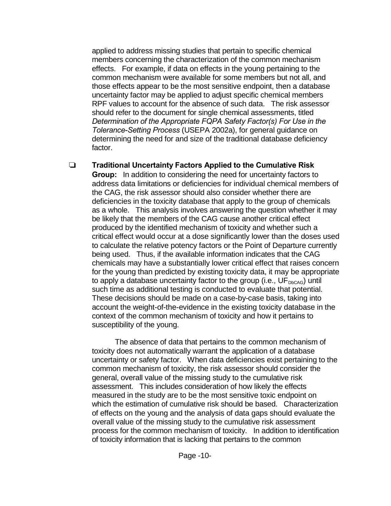applied to address missing studies that pertain to specific chemical members concerning the characterization of the common mechanism effects. For example, if data on effects in the young pertaining to the common mechanism were available for some members but not all, and those effects appear to be the most sensitive endpoint, then a database uncertainty factor may be applied to adjust specific chemical members RPF values to account for the absence of such data. The risk assessor should refer to the document for single chemical assessments, titled *Determination of the Appropriate FQPA Safety Factor(s) For Use in the Tolerance-Setting Process* (USEPA 2002a), for general guidance on determining the need for and size of the traditional database deficiency factor.

#### **Traditional Uncertainty Factors Applied to the Cumulative Risk**

**Group:** In addition to considering the need for uncertainty factors to address data limitations or deficiencies for individual chemical members of the CAG, the risk assessor should also consider whether there are deficiencies in the toxicity database that apply to the group of chemicals as a whole. This analysis involves answering the question whether it may be likely that the members of the CAG cause another critical effect produced by the identified mechanism of toxicity and whether such a critical effect would occur at a dose significantly lower than the doses used to calculate the relative potency factors or the Point of Departure currently being used. Thus, if the available information indicates that the CAG chemicals may have a substantially lower critical effect that raises concern for the young than predicted by existing toxicity data, it may be appropriate to apply a database uncertainty factor to the group (i.e.,  $UF_{DbCAG}$ ) until such time as additional testing is conducted to evaluate that potential. These decisions should be made on a case-by-case basis, taking into account the weight-of-the-evidence in the existing toxicity database in the context of the common mechanism of toxicity and how it pertains to susceptibility of the young.

The absence of data that pertains to the common mechanism of toxicity does not automatically warrant the application of a database uncertainty or safety factor. When data deficiencies exist pertaining to the common mechanism of toxicity, the risk assessor should consider the general, overall value of the missing study to the cumulative risk assessment. This includes consideration of how likely the effects measured in the study are to be the most sensitive toxic endpoint on which the estimation of cumulative risk should be based. Characterization of effects on the young and the analysis of data gaps should evaluate the overall value of the missing study to the cumulative risk assessment process for the common mechanism of toxicity. In addition to identification of toxicity information that is lacking that pertains to the common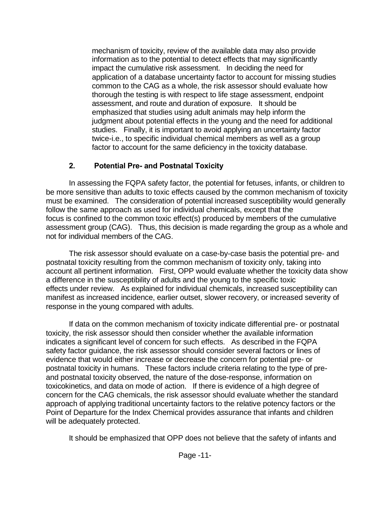mechanism of toxicity, review of the available data may also provide information as to the potential to detect effects that may significantly impact the cumulative risk assessment. In deciding the need for application of a database uncertainty factor to account for missing studies common to the CAG as a whole, the risk assessor should evaluate how thorough the testing is with respect to life stage assessment, endpoint assessment, and route and duration of exposure. It should be emphasized that studies using adult animals may help inform the judgment about potential effects in the young and the need for additional studies. Finally, it is important to avoid applying an uncertainty factor twice-i.e., to specific individual chemical members as well as a group factor to account for the same deficiency in the toxicity database.

## **2. Potential Pre- and Postnatal Toxicity**

In assessing the FQPA safety factor, the potential for fetuses, infants, or children to be more sensitive than adults to toxic effects caused by the common mechanism of toxicity must be examined. The consideration of potential increased susceptibility would generally follow the same approach as used for individual chemicals, except that the focus is confined to the common toxic effect(s) produced by members of the cumulative assessment group (CAG). Thus, this decision is made regarding the group as a whole and not for individual members of the CAG.

The risk assessor should evaluate on a case-by-case basis the potential pre- and postnatal toxicity resulting from the common mechanism of toxicity only, taking into account all pertinent information. First, OPP would evaluate whether the toxicity data show a difference in the susceptibility of adults and the young to the specific toxic effects under review. As explained for individual chemicals, increased susceptibility can manifest as increased incidence, earlier outset, slower recovery, or increased severity of response in the young compared with adults.

If data on the common mechanism of toxicity indicate differential pre- or postnatal toxicity, the risk assessor should then consider whether the available information indicates a significant level of concern for such effects. As described in the FQPA safety factor guidance, the risk assessor should consider several factors or lines of evidence that would either increase or decrease the concern for potential pre- or postnatal toxicity in humans. These factors include criteria relating to the type of preand postnatal toxicity observed, the nature of the dose-response, information on toxicokinetics, and data on mode of action. If there is evidence of a high degree of concern for the CAG chemicals, the risk assessor should evaluate whether the standard approach of applying traditional uncertainty factors to the relative potency factors or the Point of Departure for the Index Chemical provides assurance that infants and children will be adequately protected.

It should be emphasized that OPP does not believe that the safety of infants and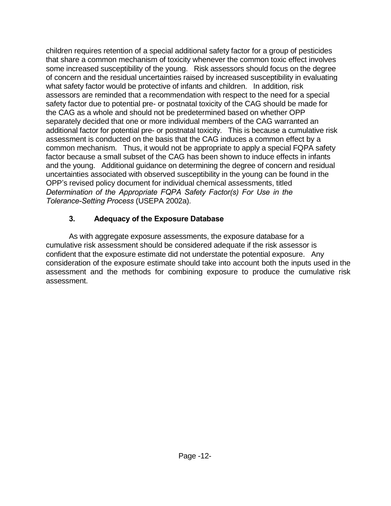children requires retention of a special additional safety factor for a group of pesticides that share a common mechanism of toxicity whenever the common toxic effect involves some increased susceptibility of the young. Risk assessors should focus on the degree of concern and the residual uncertainties raised by increased susceptibility in evaluating what safety factor would be protective of infants and children. In addition, risk assessors are reminded that a recommendation with respect to the need for a special safety factor due to potential pre- or postnatal toxicity of the CAG should be made for the CAG as a whole and should not be predetermined based on whether OPP separately decided that one or more individual members of the CAG warranted an additional factor for potential pre- or postnatal toxicity. This is because a cumulative risk assessment is conducted on the basis that the CAG induces a common effect by a common mechanism. Thus, it would not be appropriate to apply a special FQPA safety factor because a small subset of the CAG has been shown to induce effects in infants and the young. Additional guidance on determining the degree of concern and residual uncertainties associated with observed susceptibility in the young can be found in the OPP's revised policy document for individual chemical assessments, titled *Determination of the Appropriate FQPA Safety Factor(s) For Use in the Tolerance-Setting Process* (USEPA 2002a).

## **3. Adequacy of the Exposure Database**

As with aggregate exposure assessments, the exposure database for a cumulative risk assessment should be considered adequate if the risk assessor is confident that the exposure estimate did not understate the potential exposure. Any consideration of the exposure estimate should take into account both the inputs used in the assessment and the methods for combining exposure to produce the cumulative risk assessment.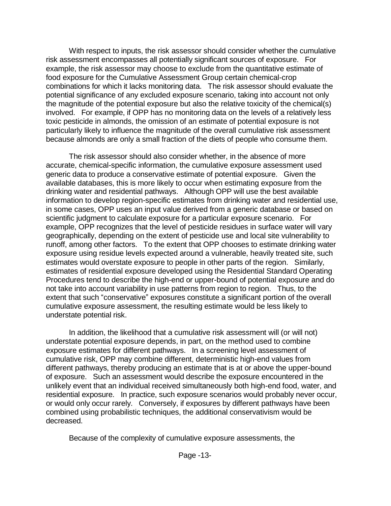With respect to inputs, the risk assessor should consider whether the cumulative risk assessment encompasses all potentially significant sources of exposure. For example, the risk assessor may choose to exclude from the quantitative estimate of food exposure for the Cumulative Assessment Group certain chemical-crop combinations for which it lacks monitoring data. The risk assessor should evaluate the potential significance of any excluded exposure scenario, taking into account not only the magnitude of the potential exposure but also the relative toxicity of the chemical(s) involved. For example, if OPP has no monitoring data on the levels of a relatively less toxic pesticide in almonds, the omission of an estimate of potential exposure is not particularly likely to influence the magnitude of the overall cumulative risk assessment because almonds are only a small fraction of the diets of people who consume them.

The risk assessor should also consider whether, in the absence of more accurate, chemical-specific information, the cumulative exposure assessment used generic data to produce a conservative estimate of potential exposure. Given the available databases, this is more likely to occur when estimating exposure from the drinking water and residential pathways. Although OPP will use the best available information to develop region-specific estimates from drinking water and residential use, in some cases, OPP uses an input value derived from a generic database or based on scientific judgment to calculate exposure for a particular exposure scenario. For example, OPP recognizes that the level of pesticide residues in surface water will vary geographically, depending on the extent of pesticide use and local site vulnerability to runoff, among other factors. To the extent that OPP chooses to estimate drinking water exposure using residue levels expected around a vulnerable, heavily treated site, such estimates would overstate exposure to people in other parts of the region. Similarly, estimates of residential exposure developed using the Residential Standard Operating Procedures tend to describe the high-end or upper-bound of potential exposure and do not take into account variability in use patterns from region to region. Thus, to the extent that such "conservative" exposures constitute a significant portion of the overall cumulative exposure assessment, the resulting estimate would be less likely to understate potential risk.

In addition, the likelihood that a cumulative risk assessment will (or will not) understate potential exposure depends, in part, on the method used to combine exposure estimates for different pathways. In a screening level assessment of cumulative risk, OPP may combine different, deterministic high-end values from different pathways, thereby producing an estimate that is at or above the upper-bound of exposure. Such an assessment would describe the exposure encountered in the unlikely event that an individual received simultaneously both high-end food, water, and residential exposure. In practice, such exposure scenarios would probably never occur, or would only occur rarely. Conversely, if exposures by different pathways have been combined using probabilistic techniques, the additional conservativism would be decreased.

Because of the complexity of cumulative exposure assessments, the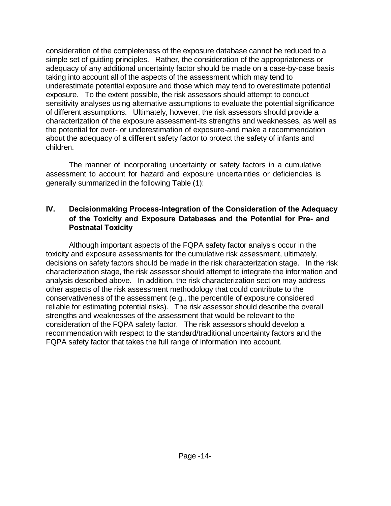consideration of the completeness of the exposure database cannot be reduced to a simple set of guiding principles. Rather, the consideration of the appropriateness or adequacy of any additional uncertainty factor should be made on a case-by-case basis taking into account all of the aspects of the assessment which may tend to underestimate potential exposure and those which may tend to overestimate potential exposure. To the extent possible, the risk assessors should attempt to conduct sensitivity analyses using alternative assumptions to evaluate the potential significance of different assumptions. Ultimately, however, the risk assessors should provide a characterization of the exposure assessment-its strengths and weaknesses, as well as the potential for over- or underestimation of exposure-and make a recommendation about the adequacy of a different safety factor to protect the safety of infants and children.

The manner of incorporating uncertainty or safety factors in a cumulative assessment to account for hazard and exposure uncertainties or deficiencies is generally summarized in the following Table (1):

#### **IV. Decisionmaking Process-Integration of the Consideration of the Adequacy of the Toxicity and Exposure Databases and the Potential for Pre- and Postnatal Toxicity**

Although important aspects of the FQPA safety factor analysis occur in the toxicity and exposure assessments for the cumulative risk assessment, ultimately, decisions on safety factors should be made in the risk characterization stage. In the risk characterization stage, the risk assessor should attempt to integrate the information and analysis described above. In addition, the risk characterization section may address other aspects of the risk assessment methodology that could contribute to the conservativeness of the assessment (e.g., the percentile of exposure considered reliable for estimating potential risks). The risk assessor should describe the overall strengths and weaknesses of the assessment that would be relevant to the consideration of the FQPA safety factor. The risk assessors should develop a recommendation with respect to the standard/traditional uncertainty factors and the FQPA safety factor that takes the full range of information into account.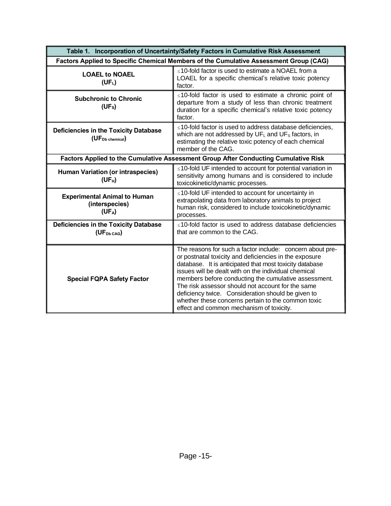| Table 1. Incorporation of Uncertainty/Safety Factors in Cumulative Risk Assessment    |                                                                                                                                                                                                                                                                                                                                                                                                                                                                                                             |
|---------------------------------------------------------------------------------------|-------------------------------------------------------------------------------------------------------------------------------------------------------------------------------------------------------------------------------------------------------------------------------------------------------------------------------------------------------------------------------------------------------------------------------------------------------------------------------------------------------------|
| Factors Applied to Specific Chemical Members of the Cumulative Assessment Group (CAG) |                                                                                                                                                                                                                                                                                                                                                                                                                                                                                                             |
| <b>LOAEL to NOAEL</b><br>(UF <sub>L</sub> )                                           | ≤10-fold factor is used to estimate a NOAEL from a<br>LOAEL for a specific chemical's relative toxic potency<br>factor.                                                                                                                                                                                                                                                                                                                                                                                     |
| <b>Subchronic to Chronic</b><br>(UF <sub>s</sub> )                                    | ≤10-fold factor is used to estimate a chronic point of<br>departure from a study of less than chronic treatment<br>duration for a specific chemical's relative toxic potency<br>factor.                                                                                                                                                                                                                                                                                                                     |
| <b>Deficiencies in the Toxicity Database</b><br>(UF <sub>Db chemical</sub> )          | ≤10-fold factor is used to address database deficiencies,<br>which are not addressed by UFL and UF <sub>S</sub> factors, in<br>estimating the relative toxic potency of each chemical<br>member of the CAG.                                                                                                                                                                                                                                                                                                 |
| Factors Applied to the Cumulative Assessment Group After Conducting Cumulative Risk   |                                                                                                                                                                                                                                                                                                                                                                                                                                                                                                             |
| <b>Human Variation (or intraspecies)</b><br>$(UF_H)$                                  | ≤10-fold UF intended to account for potential variation in<br>sensitivity among humans and is considered to include<br>toxicokinetic/dynamic processes.                                                                                                                                                                                                                                                                                                                                                     |
| <b>Experimental Animal to Human</b><br>(interspecies)<br>(UF <sub>A</sub> )           | $\leq$ 10-fold UF intended to account for uncertainty in<br>extrapolating data from laboratory animals to project<br>human risk, considered to include toxicokinetic/dynamic<br>processes.                                                                                                                                                                                                                                                                                                                  |
| <b>Deficiencies in the Toxicity Database</b><br>(UF <sub>Db</sub> <sub>CAG</sub> )    | ≤10-fold factor is used to address database deficiencies<br>that are common to the CAG.                                                                                                                                                                                                                                                                                                                                                                                                                     |
| <b>Special FQPA Safety Factor</b>                                                     | The reasons for such a factor include: concern about pre-<br>or postnatal toxicity and deficiencies in the exposure<br>database. It is anticipated that most toxicity database<br>issues will be dealt with on the individual chemical<br>members before conducting the cumulative assessment.<br>The risk assessor should not account for the same<br>deficiency twice. Consideration should be given to<br>whether these concerns pertain to the common toxic<br>effect and common mechanism of toxicity. |